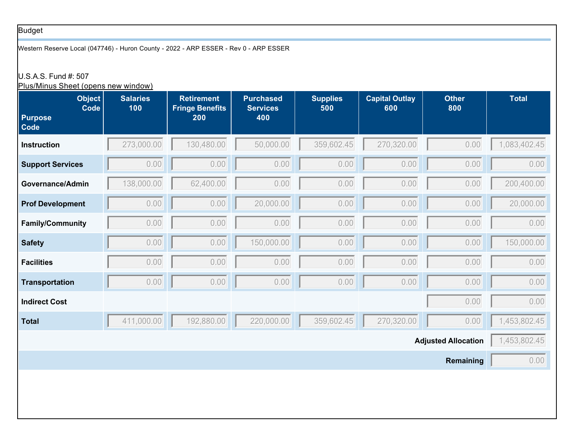## Budget

Western Reserve Local (047746) - Huron County - 2022 - ARP ESSER - Rev 0 - ARP ESSER

# U.S.A.S. Fund #: 507

Plus/Minus Sheet (opens new window)

| <b>Object</b><br>Code<br><b>Purpose</b><br>Code | <b>Salaries</b><br>100 | <b>Retirement</b><br><b>Fringe Benefits</b><br>200 | <b>Purchased</b><br><b>Services</b><br>400 | <b>Supplies</b><br>500 | <b>Capital Outlay</b><br>600 | <b>Other</b><br>800 | <b>Total</b> |  |  |
|-------------------------------------------------|------------------------|----------------------------------------------------|--------------------------------------------|------------------------|------------------------------|---------------------|--------------|--|--|
| <b>Instruction</b>                              | 273,000.00             | 130,480.00                                         | 50,000.00                                  | 359,602.45             | 270,320.00                   | 0.00                | 1,083,402.45 |  |  |
| <b>Support Services</b>                         | 0.00                   | 0.00                                               | 0.00                                       | 0.00                   | 0.00                         | 0.00                | 0.00         |  |  |
| Governance/Admin                                | 138,000.00             | 62,400.00                                          | 0.00                                       | 0.00                   | 0.00                         | 0.00                | 200,400.00   |  |  |
| <b>Prof Development</b>                         | 0.00                   | 0.00                                               | 20,000.00                                  | 0.00                   | 0.00                         | 0.00                | 20,000.00    |  |  |
| <b>Family/Community</b>                         | 0.00                   | 0.00                                               | 0.00                                       | 0.00                   | 0.00                         | 0.00                | 0.00         |  |  |
| <b>Safety</b>                                   | 0.00                   | 0.00                                               | 150,000.00                                 | 0.00                   | 0.00                         | 0.00                | 150,000.00   |  |  |
| <b>Facilities</b>                               | 0.00                   | 0.00                                               | 0.00                                       | 0.00                   | 0.00                         | 0.00                | 0.00         |  |  |
| <b>Transportation</b>                           | 0.00                   | 0.00                                               | 0.00                                       | 0.00                   | 0.00                         | 0.00                | 0.00         |  |  |
| <b>Indirect Cost</b>                            |                        |                                                    |                                            |                        |                              | 0.00                | 0.00         |  |  |
| <b>Total</b>                                    | 411,000.00             | 192,880.00                                         | 220,000.00                                 | 359,602.45             | 270,320.00                   | 0.00                | 1,453,802.45 |  |  |
| <b>Adjusted Allocation</b>                      |                        |                                                    |                                            |                        |                              |                     |              |  |  |
|                                                 |                        |                                                    |                                            |                        |                              | <b>Remaining</b>    | 0.00         |  |  |
|                                                 |                        |                                                    |                                            |                        |                              |                     |              |  |  |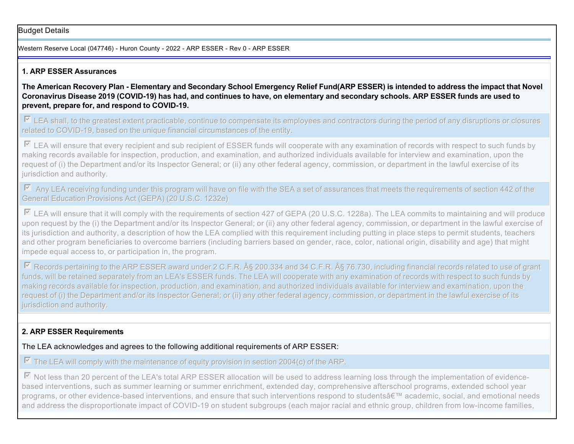### Budget Details

Western Reserve Local (047746) - Huron County - 2022 - ARP ESSER - Rev 0 - ARP ESSER

#### **1. ARP ESSER Assurances**

**The American Recovery Plan - Elementary and Secondary School Emergency Relief Fund(ARP ESSER) is intended to address the impact that Novel Coronavirus Disease 2019 (COVID-19) has had, and continues to have, on elementary and secondary schools. ARP ESSER funds are used to prevent, prepare for, and respond to COVID-19.**

□ LEA shall, to the greatest extent practicable, continue to compensate its employees and contractors during the period of any disruptions or closures related to COVID-19, based on the unique financial circumstances of the entity.

 $\triangledown$  LEA will ensure that every recipient and sub recipient of ESSER funds will cooperate with any examination of records with respect to such funds by making records available for inspection, production, and examination, and authorized individuals available for interview and examination, upon the request of (i) the Department and/or its Inspector General; or (ii) any other federal agency, commission, or department in the lawful exercise of its jurisdiction and authority.

 $\triangleright$  Any LEA receiving funding under this program will have on file with the SEA a set of assurances that meets the requirements of section 442 of the General Education Provisions Act (GEPA) (20 U.S.C. 1232e)

■ LEA will ensure that it will comply with the requirements of section 427 of GEPA (20 U.S.C. 1228a). The LEA commits to maintaining and will produce upon request by the (i) the Department and/or its Inspector General; or (ii) any other federal agency, commission, or department in the lawful exercise of its jurisdiction and authority, a description of how the LEA complied with this requirement including putting in place steps to permit students, teachers and other program beneficiaries to overcome barriers (including barriers based on gender, race, color, national origin, disability and age) that might impede equal access to, or participation in, the program.

■ Records pertaining to the ARP ESSER award under 2 C.F.R. § 200.334 and 34 C.F.R. § 76.730, including financial records related to use of grant funds, will be retained separately from an LEA's ESSER funds. The LEA will cooperate with any examination of records with respect to such funds by making records available for inspection, production, and examination, and authorized individuals available for interview and examination, upon the request of (i) the Department and/or its Inspector General; or (ii) any other federal agency, commission, or department in the lawful exercise of its jurisdiction and authority.

#### **2. ARP ESSER Requirements**

The LEA acknowledges and agrees to the following additional requirements of ARP ESSER:

 $\boxdot$  The LEA will comply with the maintenance of equity provision in section 2004(c) of the ARP.

Ⅳ Not less than 20 percent of the LEA's total ARP ESSER allocation will be used to address learning loss through the implementation of evidencebased interventions, such as summer learning or summer enrichment, extended day, comprehensive afterschool programs, extended school year programs, or other evidence-based interventions, and ensure that such interventions respond to students' academic, social, and emotional needs and address the disproportionate impact of COVID-19 on student subgroups (each major racial and ethnic group, children from low-income families,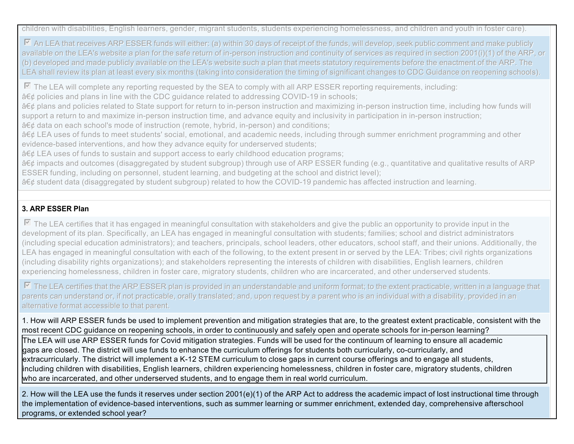children with disabilities, English learners, gender, migrant students, students experiencing homelessness, and children and youth in foster care).

☑ An LEA that receives ARP ESSER funds will either: (a) within 30 days of receipt of the funds, will develop, seek public comment and make publicly available on the LEA's website a plan for the safe return of in-person instruction and continuity of services as required in section 2001(i)(1) of the ARP, or (b) developed and made publicly available on the LEA's website such a plan that meets statutory requirements before the enactment of the ARP. The LEA shall review its plan at least every six months (taking into consideration the timing of significant changes to CDC Guidance on reopening schools).

□ The LEA will complete any reporting requested by the SEA to comply with all ARP ESSER reporting requirements, including:

 $\hat{a} \in \hat{\alpha}$  policies and plans in line with the CDC quidance related to addressing COVID-19 in schools;

• plans and policies related to State support for return to in-person instruction and maximizing in-person instruction time, including how funds will support a return to and maximize in-person instruction time, and advance equity and inclusivity in participation in in-person instruction:

 $\hat{a} \in \emptyset$  data on each school's mode of instruction (remote, hybrid, in-person) and conditions;

• LEA uses of funds to meet students' social, emotional, and academic needs, including through summer enrichment programming and other evidence-based interventions, and how they advance equity for underserved students;

 $\hat{a} \in \emptyset$  LEA uses of funds to sustain and support access to early childhood education programs;

• impacts and outcomes (disaggregated by student subgroup) through use of ARP ESSER funding (e.g., quantitative and qualitative results of ARP ESSER funding, including on personnel, student learning, and budgeting at the school and district level);

• student data (disaggregated by student subgroup) related to how the COVID-19 pandemic has affected instruction and learning.

### **3. ARP ESSER Plan**

 $\triangledown$  The LEA certifies that it has engaged in meaningful consultation with stakeholders and give the public an opportunity to provide input in the development of its plan. Specifically, an LEA has engaged in meaningful consultation with students; families; school and district administrators (including special education administrators); and teachers, principals, school leaders, other educators, school staff, and their unions. Additionally, the LEA has engaged in meaningful consultation with each of the following, to the extent present in or served by the LEA: Tribes; civil rights organizations (including disability rights organizations); and stakeholders representing the interests of children with disabilities, English learners, children experiencing homelessness, children in foster care, migratory students, children who are incarcerated, and other underserved students.

 $\boxdot$  The LEA certifies that the ARP ESSER plan is provided in an understandable and uniform format; to the extent practicable, written in a language that parents can understand or, if not practicable, orally translated; and, upon request by a parent who is an individual with a disability, provided in an alternative format accessible to that parent.

1. How will ARP ESSER funds be used to implement prevention and mitigation strategies that are, to the greatest extent practicable, consistent with the most recent CDC guidance on reopening schools, in order to continuously and safely open and operate schools for in-person learning?

The LEA will use ARP ESSER funds for Covid mitigation strategies. Funds will be used for the continuum of learning to ensure all academic gaps are closed. The district will use funds to enhance the curriculum offerings for students both curricularly, co-curricularly, and extracurricularly. The district will implement a K-12 STEM curriculum to close gaps in current course offerings and to engage all students, including children with disabilities, English learners, children experiencing homelessness, children in foster care, migratory students, children who are incarcerated, and other underserved students, and to engage them in real world curriculum.

2. How will the LEA use the funds it reserves under section 2001(e)(1) of the ARP Act to address the academic impact of lost instructional time through the implementation of evidence-based interventions, such as summer learning or summer enrichment, extended day, comprehensive afterschool programs, or extended school year?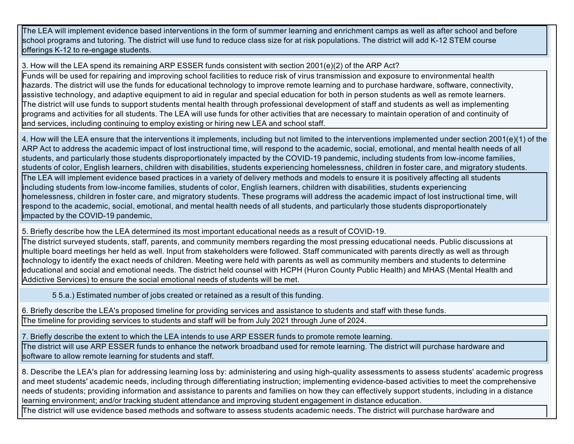The LEA will implement evidence based interventions in the form of summer learning and enrichment camps as well as after school and before school programs and tutoring. The district will use fund to reduce class size for at risk populations. The district will add K-12 STEM course offerings K-12 to re-engage students.

3. How will the LEA spend its remaining ARP ESSER funds consistent with section 2001(e)(2) of the ARP Act?

Funds will be used for repairing and improving school facilities to reduce risk of virus transmission and exposure to environmental health hazards. The district will use the funds for educational technology to improve remote learning and to purchase hardware, software, connectivity, assistive technology, and adaptive equipment to aid in regular and special education for both in person students as well as remote learners. The district will use funds to support students mental health through professional development of staff and students as well as implementing programs and activities for all students. The LEA will use funds for other activities that are necessary to maintain operation of and continuity of and services, including continuing to employ existing or hiring new LEA and school staff.

4. How will the LEA ensure that the interventions it implements, including but not limited to the interventions implemented under section 2001(e)(1) of the ARP Act to address the academic impact of lost instructional time, will respond to the academic, social, emotional, and mental health needs of all students, and particularly those students disproportionately impacted by the COVID-19 pandemic, including students from low-income families, students of color, English learners, children with disabilities, students experiencing homelessness, children in foster care, and migratory students.

The LEA will implement evidence based practices in a variety of delivery methods and models to ensure it is positively affecting all students including students from low-income families, students of color, English learners, children with disabilities, students experiencing homelessness, children in foster care, and migratory students. These programs will address the academic impact of lost instructional time, will respond to the academic, social, emotional, and mental health needs of all students, and particularly those students disproportionately impacted by the COVID-19 pandemic,

5. Briefly describe how the LEA determined its most important educational needs as a result of COVID-19.

The district surveyed students, staff, parents, and community members regarding the most pressing educational needs. Public discussions at multiple board meetings her held as well. Input from stakeholders were followed. Staff communicated with parents directly as well as through technology to identify the exact needs of children. Meeting were held with parents as well as community members and students to determine educational and social and emotional needs. The district held counsel with HCPH (Huron County Public Health) and MHAS (Mental Health and Addictive Services) to ensure the social emotional needs of students will be met.

5 5.a.) Estimated number of jobs created or retained as a result of this funding.

6. Briefly describe the LEA's proposed timeline for providing services and assistance to students and staff with these funds.

The timeline for providing services to students and staff will be from July 2021 through June of 2024.

7. Briefly describe the extent to which the LEA intends to use ARP ESSER funds to promote remote learning.

The district will use ARP ESSER funds to enhance the network broadband used for remote learning. The district will purchase hardware and software to allow remote learning for students and staff.

8. Describe the LEA's plan for addressing learning loss by: administering and using high-quality assessments to assess students' academic progress and meet students' academic needs, including through differentiating instruction; implementing evidence-based activities to meet the comprehensive needs of students; providing information and assistance to parents and families on how they can effectively support students, including in a distance learning environment; and/or tracking student attendance and improving student engagement in distance education.

The district will use evidence based methods and software to assess students academic needs. The district will purchase hardware and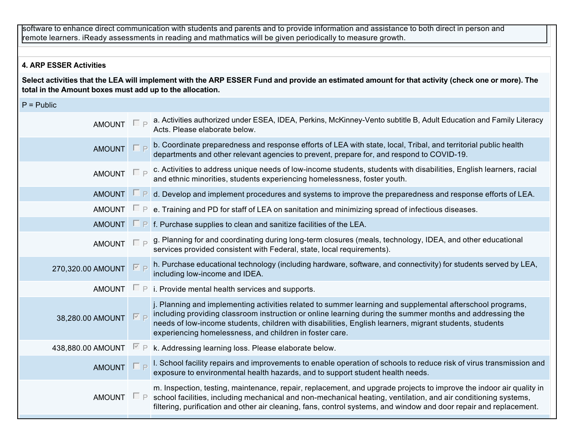software to enhance direct communication with students and parents and to provide information and assistance to both direct in person and remote learners. iReady assessments in reading and mathmatics will be given periodically to measure growth.

### **4. ARP ESSER Activities**

**Select activities that the LEA will implement with the ARP ESSER Fund and provide an estimated amount for that activity (check one or more). The total in the Amount boxes must add up to the allocation.**

P = Public

| AMOUNT <b>F</b> P     |          | a. Activities authorized under ESEA, IDEA, Perkins, McKinney-Vento subtitle B, Adult Education and Family Literacy<br>Acts. Please elaborate below.                                                                                                                                                                                                                                        |
|-----------------------|----------|--------------------------------------------------------------------------------------------------------------------------------------------------------------------------------------------------------------------------------------------------------------------------------------------------------------------------------------------------------------------------------------------|
| AMOUNT F              |          | b. Coordinate preparedness and response efforts of LEA with state, local, Tribal, and territorial public health<br>departments and other relevant agencies to prevent, prepare for, and respond to COVID-19.                                                                                                                                                                               |
| <b>AMOUNT</b>         | $\Box$ P | c. Activities to address unique needs of low-income students, students with disabilities, English learners, racial<br>and ethnic minorities, students experiencing homelessness, foster youth.                                                                                                                                                                                             |
| <b>AMOUNT</b>         |          | d. Develop and implement procedures and systems to improve the preparedness and response efforts of LEA.                                                                                                                                                                                                                                                                                   |
| <b>AMOUNT</b>         | P        | e. Training and PD for staff of LEA on sanitation and minimizing spread of infectious diseases.                                                                                                                                                                                                                                                                                            |
| <b>AMOUNT</b>         | $\Box P$ | f. Purchase supplies to clean and sanitize facilities of the LEA.                                                                                                                                                                                                                                                                                                                          |
| AMOUNT $\Box$ P       |          | g. Planning for and coordinating during long-term closures (meals, technology, IDEA, and other educational<br>services provided consistent with Federal, state, local requirements).                                                                                                                                                                                                       |
| 270,320.00 AMOUNT E P |          | h. Purchase educational technology (including hardware, software, and connectivity) for students served by LEA,<br>including low-income and IDEA.                                                                                                                                                                                                                                          |
|                       |          | AMOUNT $\Box$ P i. Provide mental health services and supports.                                                                                                                                                                                                                                                                                                                            |
| 38,280.00 AMOUNT E P  |          | j. Planning and implementing activities related to summer learning and supplemental afterschool programs,<br>including providing classroom instruction or online learning during the summer months and addressing the<br>needs of low-income students, children with disabilities, English learners, migrant students, students<br>experiencing homelessness, and children in foster care. |
| 438,880.00 AMOUNT     | V P      | k. Addressing learning loss. Please elaborate below.                                                                                                                                                                                                                                                                                                                                       |
| AMOUNT P              |          | I. School facility repairs and improvements to enable operation of schools to reduce risk of virus transmission and<br>exposure to environmental health hazards, and to support student health needs.                                                                                                                                                                                      |
| <b>AMOUNT</b>         | $\Box P$ | m. Inspection, testing, maintenance, repair, replacement, and upgrade projects to improve the indoor air quality in<br>school facilities, including mechanical and non-mechanical heating, ventilation, and air conditioning systems,<br>filtering, purification and other air cleaning, fans, control systems, and window and door repair and replacement.                                |
|                       |          |                                                                                                                                                                                                                                                                                                                                                                                            |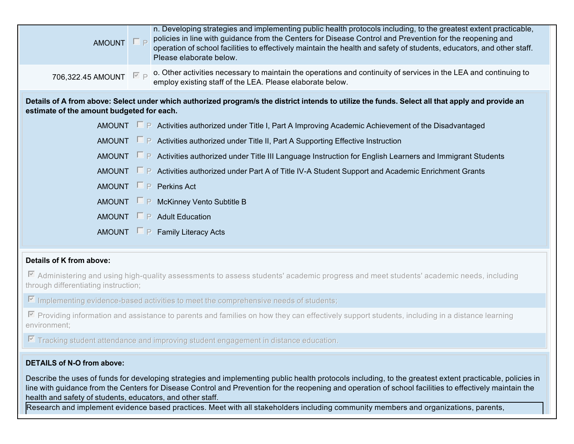| <b>AMOUNT</b>                             | $\Box$   | n. Developing strategies and implementing public health protocols including, to the greatest extent practicable,<br>policies in line with guidance from the Centers for Disease Control and Prevention for the reopening and<br>operation of school facilities to effectively maintain the health and safety of students, educators, and other staff.<br>Please elaborate below. |
|-------------------------------------------|----------|----------------------------------------------------------------------------------------------------------------------------------------------------------------------------------------------------------------------------------------------------------------------------------------------------------------------------------------------------------------------------------|
| 706,322.45 AMOUNT                         | V P      | o. Other activities necessary to maintain the operations and continuity of services in the LEA and continuing to<br>employ existing staff of the LEA. Please elaborate below.                                                                                                                                                                                                    |
| estimate of the amount budgeted for each. |          | Details of A from above: Select under which authorized program/s the district intends to utilize the funds. Select all that apply and provide an                                                                                                                                                                                                                                 |
|                                           |          | AMOUNT $\Box P$ Activities authorized under Title I, Part A Improving Academic Achievement of the Disadvantaged                                                                                                                                                                                                                                                                  |
|                                           |          | AMOUNT $\Box P$ Activities authorized under Title II, Part A Supporting Effective Instruction                                                                                                                                                                                                                                                                                    |
|                                           |          | AMOUNT $\Box P$ Activities authorized under Title III Language Instruction for English Learners and Immigrant Students                                                                                                                                                                                                                                                           |
| AMOUNT LP                                 |          | Activities authorized under Part A of Title IV-A Student Support and Academic Enrichment Grants                                                                                                                                                                                                                                                                                  |
|                                           |          | AMOUNT <b>P</b> Perkins Act                                                                                                                                                                                                                                                                                                                                                      |
|                                           |          | AMOUNT <b>D</b> P McKinney Vento Subtitle B                                                                                                                                                                                                                                                                                                                                      |
|                                           |          | AMOUNT $\Box P$ Adult Education                                                                                                                                                                                                                                                                                                                                                  |
| <b>AMOUNT</b>                             | $\Box P$ | <b>Family Literacy Acts</b>                                                                                                                                                                                                                                                                                                                                                      |

### **Details of K from above:**

■ Administering and using high-quality assessments to assess students' academic progress and meet students' academic needs, including through differentiating instruction;

 $\boxdot$  Implementing evidence-based activities to meet the comprehensive needs of students;

Ⅳ Providing information and assistance to parents and families on how they can effectively support students, including in a distance learning environment:

 $\triangledown$  Tracking student attendance and improving student engagement in distance education.

### **DETAILS of N-O from above:**

Describe the uses of funds for developing strategies and implementing public health protocols including, to the greatest extent practicable, policies in line with guidance from the Centers for Disease Control and Prevention for the reopening and operation of school facilities to effectively maintain the health and safety of students, educators, and other staff.

Research and implement evidence based practices. Meet with all stakeholders including community members and organizations, parents,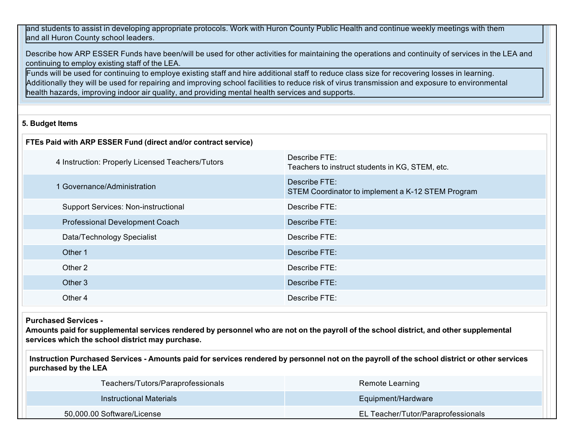and students to assist in developing appropriate protocols. Work with Huron County Public Health and continue weekly meetings with them and all Huron County school leaders.

Describe how ARP ESSER Funds have been/will be used for other activities for maintaining the operations and continuity of services in the LEA and continuing to employ existing staff of the LEA.

Funds will be used for continuing to employe existing staff and hire additional staff to reduce class size for recovering losses in learning. Additionally they will be used for repairing and improving school facilities to reduce risk of virus transmission and exposure to environmental health hazards, improving indoor air quality, and providing mental health services and supports.

#### **5. Budget Items**

| FTEs Paid with ARP ESSER Fund (direct and/or contract service) |                                                                    |  |  |  |  |
|----------------------------------------------------------------|--------------------------------------------------------------------|--|--|--|--|
| 4 Instruction: Properly Licensed Teachers/Tutors               | Describe FTE:<br>Teachers to instruct students in KG, STEM, etc.   |  |  |  |  |
| 1 Governance/Administration                                    | Describe FTE:<br>STEM Coordinator to implement a K-12 STEM Program |  |  |  |  |
| <b>Support Services: Non-instructional</b>                     | Describe FTE:                                                      |  |  |  |  |
| <b>Professional Development Coach</b>                          | Describe FTE:                                                      |  |  |  |  |
| Data/Technology Specialist                                     | Describe FTE:                                                      |  |  |  |  |
| Other 1                                                        | Describe FTE:                                                      |  |  |  |  |
| Other 2                                                        | Describe FTE:                                                      |  |  |  |  |
| Other 3                                                        | Describe FTE:                                                      |  |  |  |  |
| Other 4                                                        | Describe FTE:                                                      |  |  |  |  |

**Purchased Services -** 

**Amounts paid for supplemental services rendered by personnel who are not on the payroll of the school district, and other supplemental services which the school district may purchase.**

**Instruction Purchased Services - Amounts paid for services rendered by personnel not on the payroll of the school district or other services purchased by the LEA**

| Teachers/Tutors/Paraprofessionals | Remote Learning                    |
|-----------------------------------|------------------------------------|
| ⊟Instructional Materials          | Equipment/Hardware                 |
| 50,000.00 Software/License        | EL Teacher/Tutor/Paraprofessionals |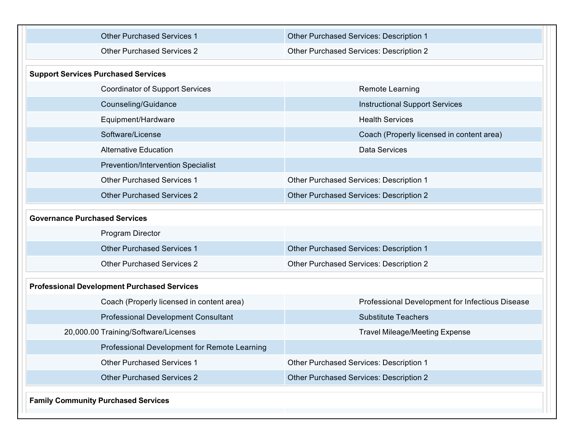|                                                    | <b>Other Purchased Services 1</b>            | Other Purchased Services: Description 1         |  |  |  |  |  |  |
|----------------------------------------------------|----------------------------------------------|-------------------------------------------------|--|--|--|--|--|--|
|                                                    | <b>Other Purchased Services 2</b>            | Other Purchased Services: Description 2         |  |  |  |  |  |  |
| <b>Support Services Purchased Services</b>         |                                              |                                                 |  |  |  |  |  |  |
|                                                    | <b>Coordinator of Support Services</b>       | <b>Remote Learning</b>                          |  |  |  |  |  |  |
|                                                    | Counseling/Guidance                          | <b>Instructional Support Services</b>           |  |  |  |  |  |  |
|                                                    | Equipment/Hardware                           | <b>Health Services</b>                          |  |  |  |  |  |  |
|                                                    | Software/License                             | Coach (Properly licensed in content area)       |  |  |  |  |  |  |
|                                                    | <b>Alternative Education</b>                 | <b>Data Services</b>                            |  |  |  |  |  |  |
|                                                    | <b>Prevention/Intervention Specialist</b>    |                                                 |  |  |  |  |  |  |
|                                                    | <b>Other Purchased Services 1</b>            | <b>Other Purchased Services: Description 1</b>  |  |  |  |  |  |  |
|                                                    | <b>Other Purchased Services 2</b>            | Other Purchased Services: Description 2         |  |  |  |  |  |  |
| <b>Governance Purchased Services</b>               |                                              |                                                 |  |  |  |  |  |  |
|                                                    | Program Director                             |                                                 |  |  |  |  |  |  |
|                                                    | <b>Other Purchased Services 1</b>            | Other Purchased Services: Description 1         |  |  |  |  |  |  |
|                                                    | <b>Other Purchased Services 2</b>            | Other Purchased Services: Description 2         |  |  |  |  |  |  |
| <b>Professional Development Purchased Services</b> |                                              |                                                 |  |  |  |  |  |  |
|                                                    | Coach (Properly licensed in content area)    | Professional Development for Infectious Disease |  |  |  |  |  |  |
|                                                    | <b>Professional Development Consultant</b>   | <b>Substitute Teachers</b>                      |  |  |  |  |  |  |
|                                                    | 20,000.00 Training/Software/Licenses         | <b>Travel Mileage/Meeting Expense</b>           |  |  |  |  |  |  |
|                                                    | Professional Development for Remote Learning |                                                 |  |  |  |  |  |  |
|                                                    | <b>Other Purchased Services 1</b>            | <b>Other Purchased Services: Description 1</b>  |  |  |  |  |  |  |
|                                                    | <b>Other Purchased Services 2</b>            | Other Purchased Services: Description 2         |  |  |  |  |  |  |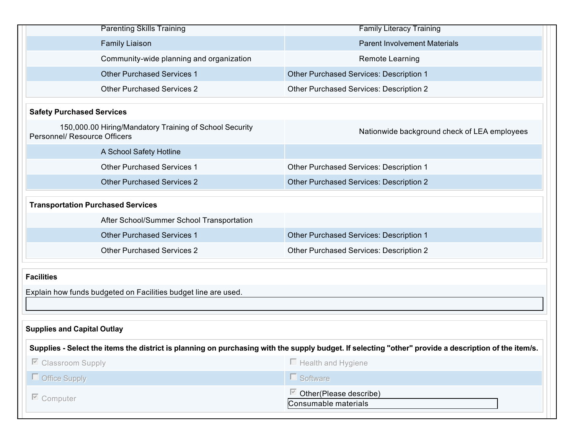| <b>Parenting Skills Training</b>                                                                                                                     | <b>Family Literacy Training</b>                                  |  |  |  |  |  |  |
|------------------------------------------------------------------------------------------------------------------------------------------------------|------------------------------------------------------------------|--|--|--|--|--|--|
| <b>Family Liaison</b>                                                                                                                                | <b>Parent Involvement Materials</b>                              |  |  |  |  |  |  |
| Community-wide planning and organization                                                                                                             | <b>Remote Learning</b>                                           |  |  |  |  |  |  |
| <b>Other Purchased Services 1</b>                                                                                                                    | Other Purchased Services: Description 1                          |  |  |  |  |  |  |
| <b>Other Purchased Services 2</b>                                                                                                                    | Other Purchased Services: Description 2                          |  |  |  |  |  |  |
| <b>Safety Purchased Services</b>                                                                                                                     |                                                                  |  |  |  |  |  |  |
| 150,000.00 Hiring/Mandatory Training of School Security<br><b>Personnel/ Resource Officers</b>                                                       | Nationwide background check of LEA employees                     |  |  |  |  |  |  |
| A School Safety Hotline                                                                                                                              |                                                                  |  |  |  |  |  |  |
| <b>Other Purchased Services 1</b>                                                                                                                    | <b>Other Purchased Services: Description 1</b>                   |  |  |  |  |  |  |
| <b>Other Purchased Services 2</b>                                                                                                                    | Other Purchased Services: Description 2                          |  |  |  |  |  |  |
| <b>Transportation Purchased Services</b>                                                                                                             |                                                                  |  |  |  |  |  |  |
| After School/Summer School Transportation                                                                                                            |                                                                  |  |  |  |  |  |  |
| <b>Other Purchased Services 1</b>                                                                                                                    | <b>Other Purchased Services: Description 1</b>                   |  |  |  |  |  |  |
| <b>Other Purchased Services 2</b>                                                                                                                    | Other Purchased Services: Description 2                          |  |  |  |  |  |  |
| <b>Facilities</b>                                                                                                                                    |                                                                  |  |  |  |  |  |  |
| Explain how funds budgeted on Facilities budget line are used.                                                                                       |                                                                  |  |  |  |  |  |  |
|                                                                                                                                                      |                                                                  |  |  |  |  |  |  |
| <b>Supplies and Capital Outlay</b>                                                                                                                   |                                                                  |  |  |  |  |  |  |
| Supplies - Select the items the district is planning on purchasing with the supply budget. If selecting "other" provide a description of the item/s. |                                                                  |  |  |  |  |  |  |
| $\triangleright$ Classroom Supply                                                                                                                    | $\Box$ Health and Hygiene                                        |  |  |  |  |  |  |
| $\Box$ Office Supply                                                                                                                                 | $\Box$ Software                                                  |  |  |  |  |  |  |
| $\boxdot$ Computer                                                                                                                                   | $\triangleright$ Other (Please describe)<br>Consumable materials |  |  |  |  |  |  |
|                                                                                                                                                      |                                                                  |  |  |  |  |  |  |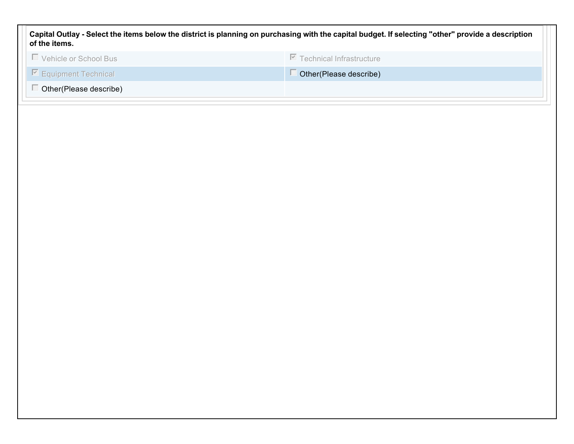| Capital Outlay - Select the items below the district is planning on purchasing with the capital budget. If selecting "other" provide a description<br>of the items. |                                          |  |  |  |  |  |
|---------------------------------------------------------------------------------------------------------------------------------------------------------------------|------------------------------------------|--|--|--|--|--|
| $\Box$ Vehicle or School Bus                                                                                                                                        | $\triangledown$ Technical Infrastructure |  |  |  |  |  |
| $\triangleright$ Equipment Technical                                                                                                                                | Other (Please describe)                  |  |  |  |  |  |
| Other(Please describe)                                                                                                                                              |                                          |  |  |  |  |  |